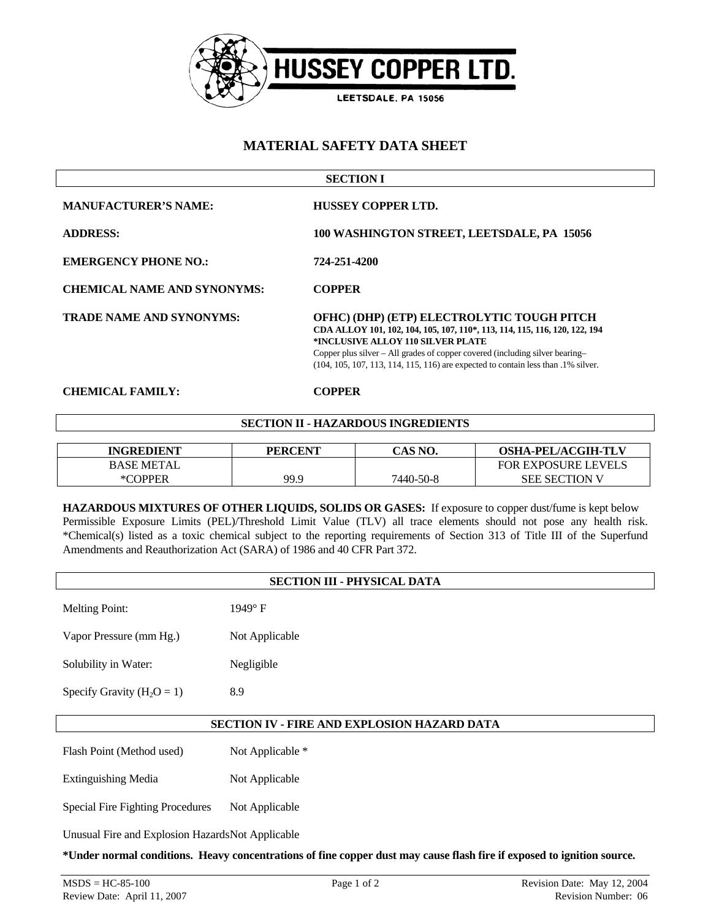

# **MATERIAL SAFETY DATA SHEET**

| <b>SECTION I</b>                   |                                                                                                                                                                                                                                                                                                                                    |  |
|------------------------------------|------------------------------------------------------------------------------------------------------------------------------------------------------------------------------------------------------------------------------------------------------------------------------------------------------------------------------------|--|
| <b>MANUFACTURER'S NAME:</b>        | <b>HUSSEY COPPER LTD.</b>                                                                                                                                                                                                                                                                                                          |  |
| <b>ADDRESS:</b>                    | 100 WASHINGTON STREET, LEETSDALE, PA 15056                                                                                                                                                                                                                                                                                         |  |
| <b>EMERGENCY PHONE NO.:</b>        | 724-251-4200                                                                                                                                                                                                                                                                                                                       |  |
| <b>CHEMICAL NAME AND SYNONYMS:</b> | <b>COPPER</b>                                                                                                                                                                                                                                                                                                                      |  |
| <b>TRADE NAME AND SYNONYMS:</b>    | OFHC) (DHP) (ETP) ELECTROLYTIC TOUGH PITCH<br>CDA ALLOY 101, 102, 104, 105, 107, 110*, 113, 114, 115, 116, 120, 122, 194<br>*INCLUSIVE ALLOY 110 SILVER PLATE<br>Copper plus silver – All grades of copper covered (including silver bearing–<br>(104, 105, 107, 113, 114, 115, 116) are expected to contain less than .1% silver. |  |

## **CHEMICAL FAMILY: COPPER**

## **SECTION II - HAZARDOUS INGREDIENTS**

| <b>INGREDIENT</b> | <b>PERCENT</b> | TAS NO.   | <b>OSHA-PEL/ACGIH-TLV</b>  |
|-------------------|----------------|-----------|----------------------------|
| <b>BASE METAL</b> |                |           | <b>FOR EXPOSURE LEVELS</b> |
| *COPPER           | 99.9           | 7440-50-8 | <b>SEE SECTION V</b>       |

**HAZARDOUS MIXTURES OF OTHER LIQUIDS, SOLIDS OR GASES:** If exposure to copper dust/fume is kept below Permissible Exposure Limits (PEL)/Threshold Limit Value (TLV) all trace elements should not pose any health risk. \*Chemical(s) listed as a toxic chemical subject to the reporting requirements of Section 313 of Title III of the Superfund Amendments and Reauthorization Act (SARA) of 1986 and 40 CFR Part 372.

| <b>SECTION III - PHYSICAL DATA</b>               |                  |  |
|--------------------------------------------------|------------------|--|
| <b>Melting Point:</b>                            | 1949°F           |  |
| Vapor Pressure (mm Hg.)                          | Not Applicable   |  |
| Solubility in Water:                             | Negligible       |  |
| Specify Gravity $(H_2O = 1)$                     | 8.9              |  |
| SECTION IV - FIRE AND EXPLOSION HAZARD DATA      |                  |  |
| Flash Point (Method used)                        | Not Applicable * |  |
| <b>Extinguishing Media</b>                       | Not Applicable   |  |
| <b>Special Fire Fighting Procedures</b>          | Not Applicable   |  |
| Unusual Fire and Explosion HazardsNot Applicable |                  |  |

**\*Under normal conditions. Heavy concentrations of fine copper dust may cause flash fire if exposed to ignition source.**